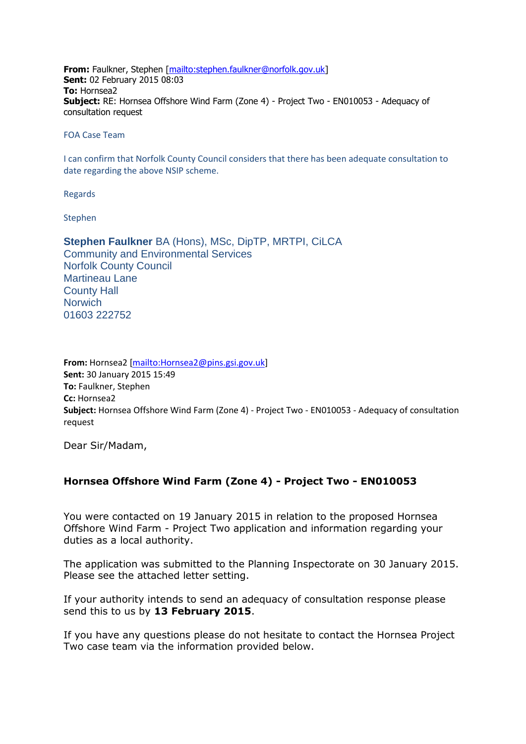**From:** Faulkner, Stephen [\[mailto:stephen.faulkner@norfolk.gov.uk\]](mailto:stephen.faulkner@norfolk.gov.uk) **Sent:** 02 February 2015 08:03 **To:** Hornsea2 **Subject:** RE: Hornsea Offshore Wind Farm (Zone 4) - Project Two - EN010053 - Adequacy of consultation request

FOA Case Team

I can confirm that Norfolk County Council considers that there has been adequate consultation to date regarding the above NSIP scheme.

Regards

Stephen

**Stephen Faulkner** BA (Hons), MSc, DipTP, MRTPI, CiLCA Community and Environmental Services Norfolk County Council Martineau Lane County Hall **Norwich** 01603 222752

**From:** Hornsea2 [\[mailto:Hornsea2@pins.gsi.gov.uk\]](mailto:Hornsea2@pins.gsi.gov.uk) **Sent:** 30 January 2015 15:49 **To:** Faulkner, Stephen **Cc:** Hornsea2 **Subject:** Hornsea Offshore Wind Farm (Zone 4) - Project Two - EN010053 - Adequacy of consultation request

Dear Sir/Madam,

## **Hornsea Offshore Wind Farm (Zone 4) - Project Two - EN010053**

You were contacted on 19 January 2015 in relation to the proposed Hornsea Offshore Wind Farm - Project Two application and information regarding your duties as a local authority.

The application was submitted to the Planning Inspectorate on 30 January 2015. Please see the attached letter setting.

If your authority intends to send an adequacy of consultation response please send this to us by **13 February 2015**.

If you have any questions please do not hesitate to contact the Hornsea Project Two case team via the information provided below.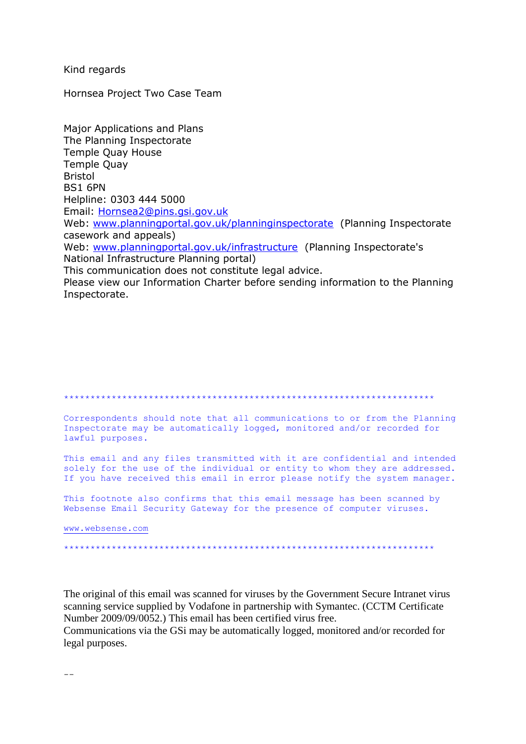Kind regards

Hornsea Project Two Case Team

**Major Applications and Plans** The Planning Inspectorate **Temple Quay House Temple Ouav Bristol BS1 6PN** Helpline: 0303 444 5000 Email: Hornsea2@pins.gsi.gov.uk Web: www.planningportal.gov.uk/planninginspectorate (Planning Inspectorate casework and appeals) Web: www.planningportal.gov.uk/infrastructure (Planning Inspectorate's National Infrastructure Planning portal) This communication does not constitute legal advice. Please view our Information Charter before sending information to the Planning

Inspectorate.

Correspondents should note that all communications to or from the Planning Inspectorate may be automatically logged, monitored and/or recorded for lawful purposes.

This email and any files transmitted with it are confidential and intended solely for the use of the individual or entity to whom they are addressed. If you have received this email in error please notify the system manager.

This footnote also confirms that this email message has been scanned by Websense Email Security Gateway for the presence of computer viruses.

www.websense.com

The original of this email was scanned for viruses by the Government Secure Intranet virus scanning service supplied by Vodafone in partnership with Symantec. (CCTM Certificate Number 2009/09/0052.) This email has been certified virus free.

Communications via the GSi may be automatically logged, monitored and/or recorded for legal purposes.